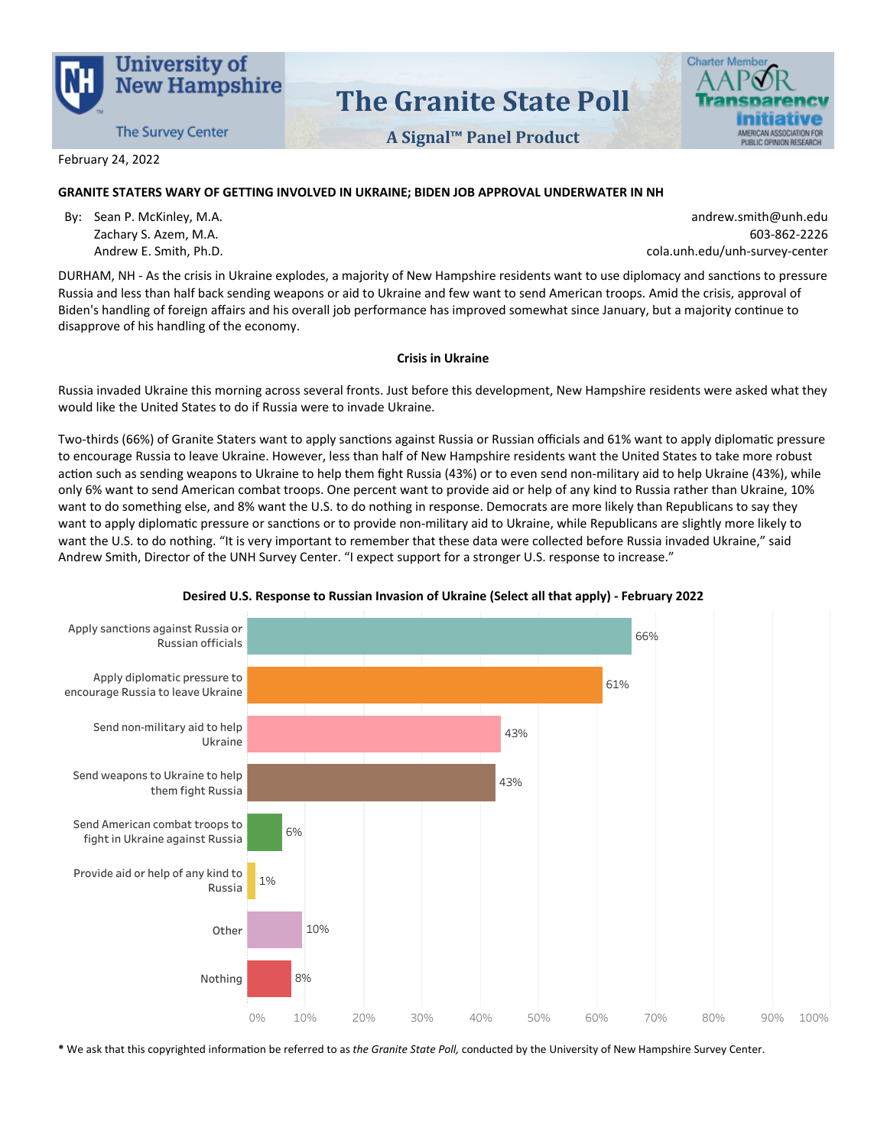

# The Granite State Poll

A Signal™ Panel Product



February 24, 2022

## GRANITE STATERS WARY OF GETTING INVOLVED IN UKRAINE; BIDEN JOB APPROVAL UNDERWATER IN NH

By: Sean P. McKinley, M.A. Zachary S. Azem, M.A. Andrew E. Smith, Ph.D.

andrew.smith@unh.edu 603-862-2226 cola.unh.edu/unh-survey-center

DURHAM, NH-As the crisis in Ukraine explodes, a majority of New Hampshire residents want to use diplomacy and sanctions to pressure Russia and less than half back sending weapons or aid to Ukraine and few want to send American troops. Amid the crisis, approval of Biden's handling of foreign affairs and his overall job performance has improved somewhat since January, but a majority continue to disapprove of his handling of the economy.

## **Crisis in Ukraine**

Russia invaded Ukraine this morning across several fronts. Just before this development, New Hampshire residents were asked what they would like the United States to do if Russia were to invade Ukraine.

Two-thirds (66%) of Granite Staters want to apply sanctions against Russia or Russian officials and 61% want to apply diplomatic pressure to encourage Russia to leave Ukraine. However, less than half of New Hampshire residents want the United States to take more robust action such as sending weapons to Ukraine to help them fight Russia (43%) or to even send non-military aid to help Ukraine (43%), while only 6% want to send American combat troops. One percent want to provide aid or help of any kind to Russia rather than Ukraine, 10% want to do something else, and 8% want the U.S. to do nothing in response. Democrats are more likely than Republicans to say they want to apply diplomatic pressure or sanctions or to provide non-military aid to Ukraine, while Republicans are slightly more likely to want the U.S. to do nothing. "It is very important to remember that these data were collected before Russia invaded Ukraine," said Andrew Smith, Director of the UNH Survey Center. "I expect support for a stronger U.S. response to increase."



## Desired U.S. Response to Russian Invasion of Ukraine (Select all that apply) - February 2022

\* We ask that this copyrighted information be referred to as the Granite State Poll, conducted by the University of New Hampshire Survey Center.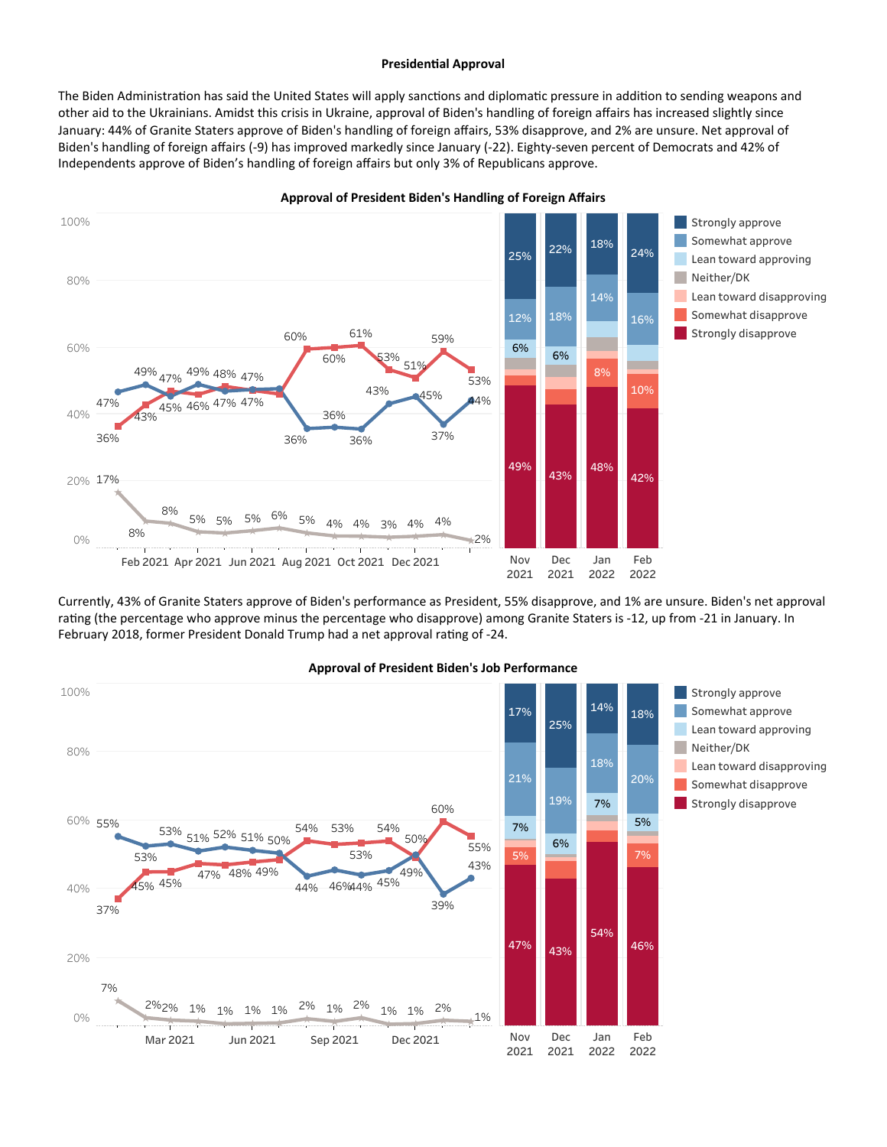#### Presidential Approval

The Biden Administration has said the United States will apply sanctions and diplomatic pressure in addition to sending weapons and other aid to the Ukrainians. Amidst this crisis in Ukraine, approval of Biden's handling of foreign affairs has increased slightly since January: 44% of Granite Staters approve of Biden's handling of foreign affairs, 53% disapprove, and 2% are unsure. Net approval of Biden's handling of foreign affairs (-9) has improved markedly since January (-22). Eighty-seven percent of Democrats and 42% of Independents approve of Biden's handling of foreign affairs but only 3% of Republicans approve.



Approval of President Biden's Handling of Foreign Affairs

Currently, 43% of Granite Staters approve of Biden's performance as President, 55% disapprove, and 1% are unsure. Biden's net approval rating (the percentage who approve minus the percentage who disapprove) among Granite Staters is -12, up from -21 in January. In February 2018, former President Donald Trump had a net approval rating of -24.



## Approval of President Biden's Job Performance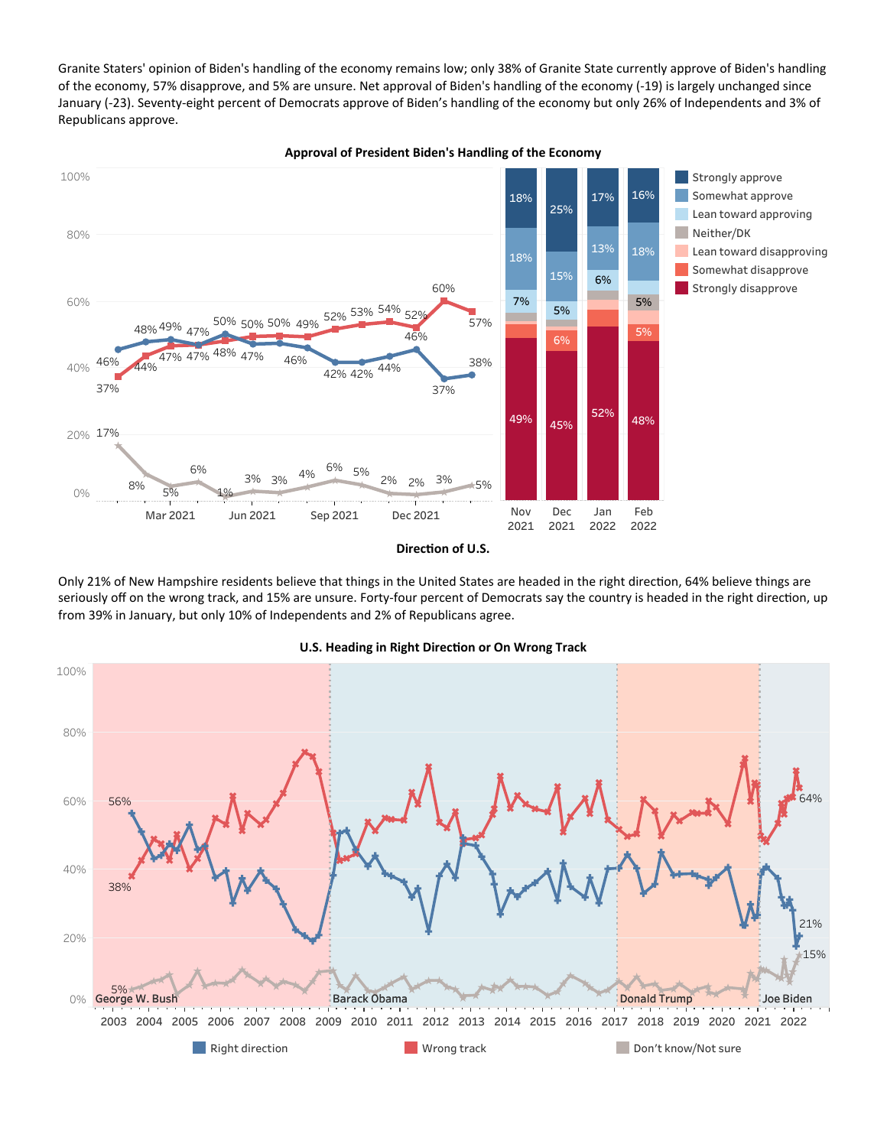Granite Staters' opinion of Biden's handling of the economy remains low; only 38% of Granite State currently approve of Biden's handling of the economy, 57% disapprove, and 5% are unsure. Net approval of Biden's handling of the economy (-19) is largely unchanged since January (-23). Seventy-eight percent of Democrats approve of Biden's handling of the economy but only 26% of Independents and 3% of Republicans approve.



Only 21% of New Hampshire residents believe that things in the United States are headed in the right direction, 64% believe things are seriously off on the wrong track, and 15% are unsure. Forty-four percent of Democrats say the country is headed in the right direction, up from 39% in January, but only 10% of Independents and 2% of Republicans agree.



#### U.S. Heading in Right Direction or On Wrong Track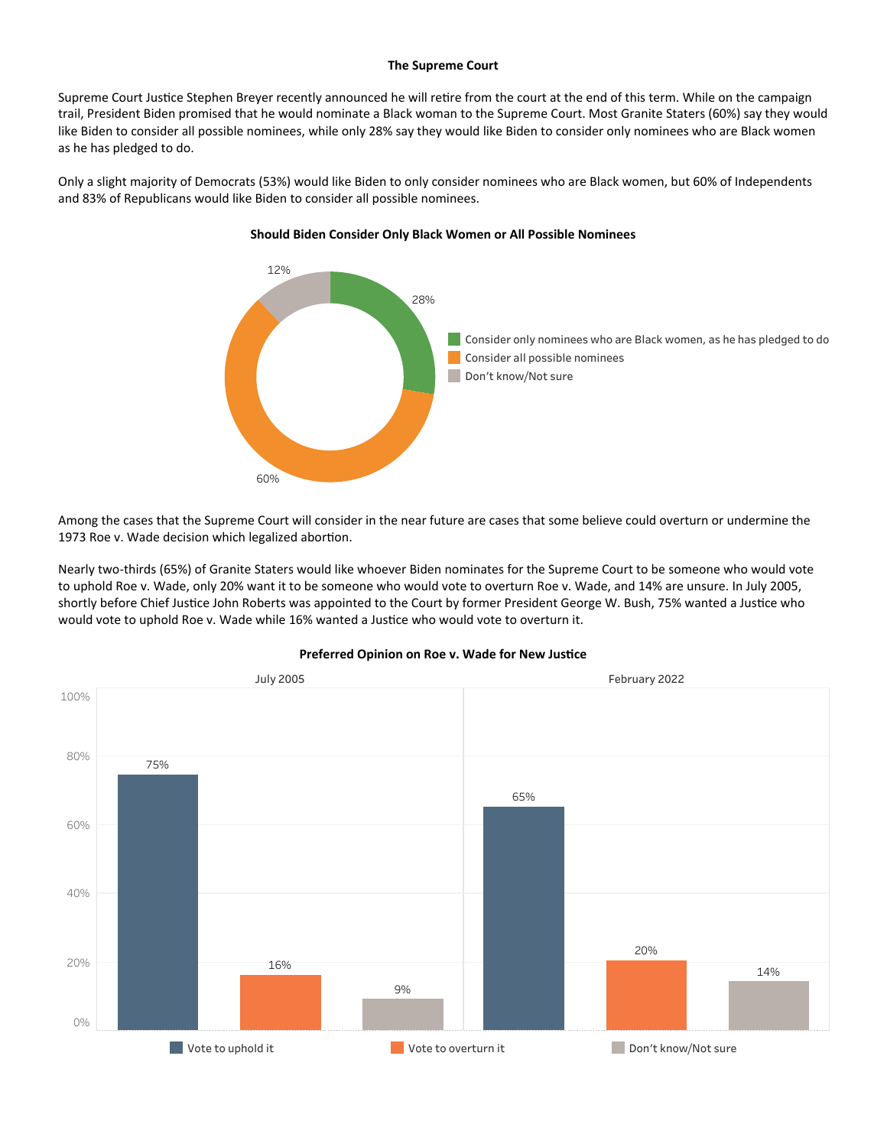#### The Supreme Court

Supreme Court Justice Stephen Breyer recently announced he will retire from the court at the end of this term. While on the campaign trail, President Biden promised that he would nominate a Black woman to the Supreme Court. Most Granite Staters (60%) say they would like Biden to consider all possible nominees, while only 28% say they would like Biden to consider only nominees who are Black women as he has pledged to do.

Only a slight majority of Democrats (53%) would like Biden to only consider nominees who are Black women, but 60% of Independents and 83% of Republicans would like Biden to consider all possible nominees.



## Should Biden Consider Only Black Women or All Possible Nominees

Among the cases that the Supreme Court will consider in the near future are cases that some believe could overturn or undermine the 1973 Roe v. Wade decision which legalized abortion.

Nearly two-thirds (65%) of Granite Staters would like whoever Biden nominates for the Supreme Court to be someone who would vote to uphold Roe v. Wade, only 20% want it to be someone who would vote to overturn Roe v. Wade, and 14% are unsure. In July 2005, shortly before Chief Justice John Roberts was appointed to the Court by former President George W. Bush, 75% wanted a Justice who would vote to uphold Roe v. Wade while 16% wanted a Justice who would vote to overturn it.



## Preferred Opinion on Roe v. Wade for New Justice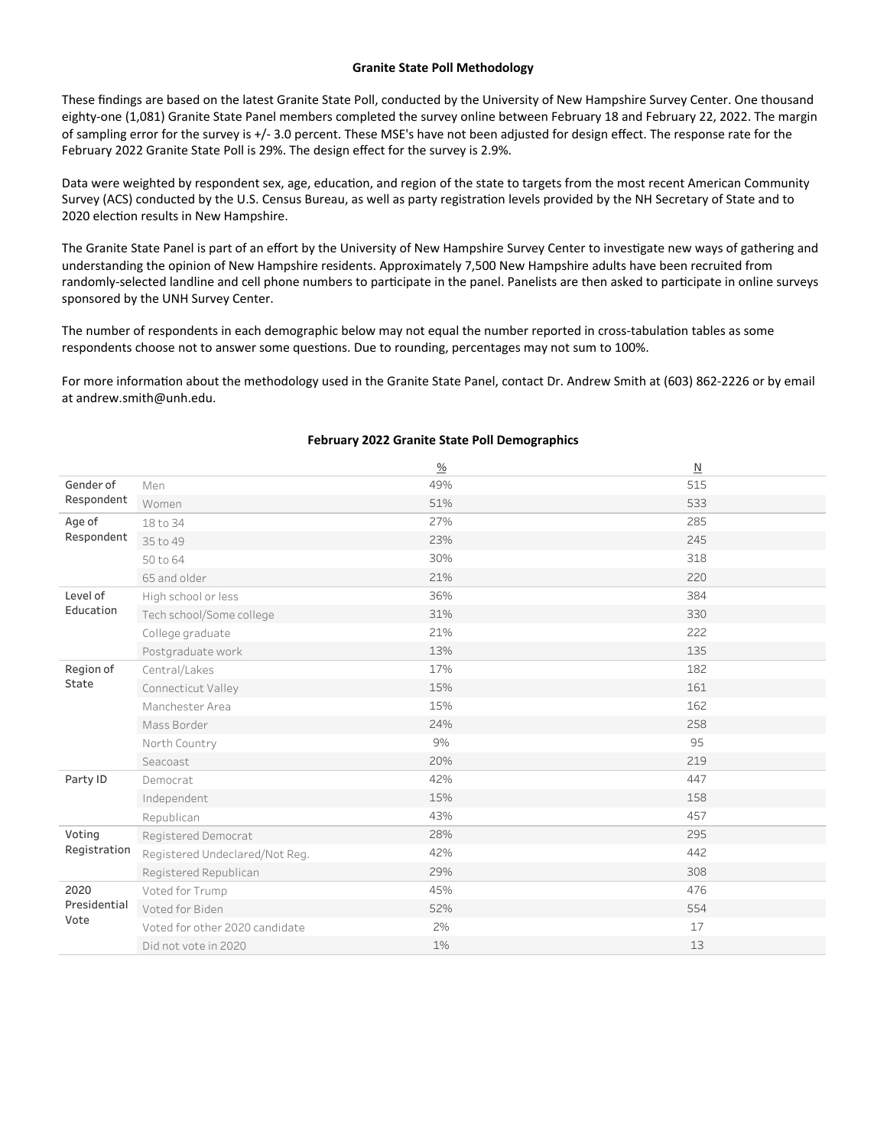#### Granite State Poll Methodology

These findings are based on the latest Granite State Poll, conducted by the University of New Hampshire Survey Center. One thousand eighty-one (1,081) Granite State Panel members completed the survey online between February 18 and February 22, 2022. The margin of sampling error for the survey is +/-3.0 percent. These MSE's have not been adjusted for design effect. The response rate for the February 2022 Granite State Poll is 29%. The design effect for the survey is 2.9%.

Data were weighted by respondent sex, age, education, and region of the state to targets from the most recent American Community Survey (ACS) conducted by the U.S. Census Bureau, as well as party registration levels provided by the NH Secretary of State and to 2020 election results in New Hampshire.

The Granite State Panel is part of an effort by the University of New Hampshire Survey Center to investigate new ways of gathering and understanding the opinion of New Hampshire residents. Approximately 7,500 New Hampshire adults have been recruited from randomly-selected landline and cell phone numbers to participate in the panel. Panelists are then asked to participate in online surveys sponsored by the UNH Survey Center.

The number of respondents in each demographic below may not equal the number reported in cross-tabulation tables as some respondents choose not to answer some questions. Due to rounding, percentages may not sum to 100%.

For more information about the methodology used in the Granite State Panel, contact Dr. Andrew Smith at (603) 862-2226 or by email at andrew.smith@unh.edu.

|                    |                                | $\frac{0}{0}$ | $\mathbb N$ |
|--------------------|--------------------------------|---------------|-------------|
| Gender of          | Men                            | 49%           | 515         |
| Respondent         | Women                          | 51%           | 533         |
| Age of             | 18 to 34                       | 27%           | 285         |
| Respondent         | 35 to 49                       | 23%           | 245         |
|                    | 50 to 64                       | 30%           | 318         |
|                    | 65 and older                   | 21%           | 220         |
| Level of           | High school or less            | 36%           | 384         |
| Education          | Tech school/Some college       | 31%           | 330         |
|                    | College graduate               | 21%           | 222         |
|                    | Postgraduate work              | 13%           | 135         |
| Region of<br>State | Central/Lakes                  | 17%           | 182         |
|                    | Connecticut Valley             | 15%           | 161         |
|                    | Manchester Area                | 15%           | 162         |
|                    | Mass Border                    | 24%           | 258         |
|                    | North Country                  | 9%            | 95          |
|                    | Seacoast                       | 20%           | 219         |
| Party ID           | Democrat                       | 42%           | 447         |
|                    | Independent                    | 15%           | 158         |
|                    | Republican                     | 43%           | 457         |
| Voting             | Registered Democrat            | 28%           | 295         |
| Registration       | Registered Undeclared/Not Reg. | 42%           | 442         |
|                    | Registered Republican          | 29%           | 308         |
| 2020               | Voted for Trump                | 45%           | 476         |
| Presidential       | Voted for Biden                | 52%           | 554         |
| Vote               | Voted for other 2020 candidate | 2%            | 17          |
|                    | Did not vote in 2020           | 1%            | 13          |

## February 2022 Granite State Poll Demographics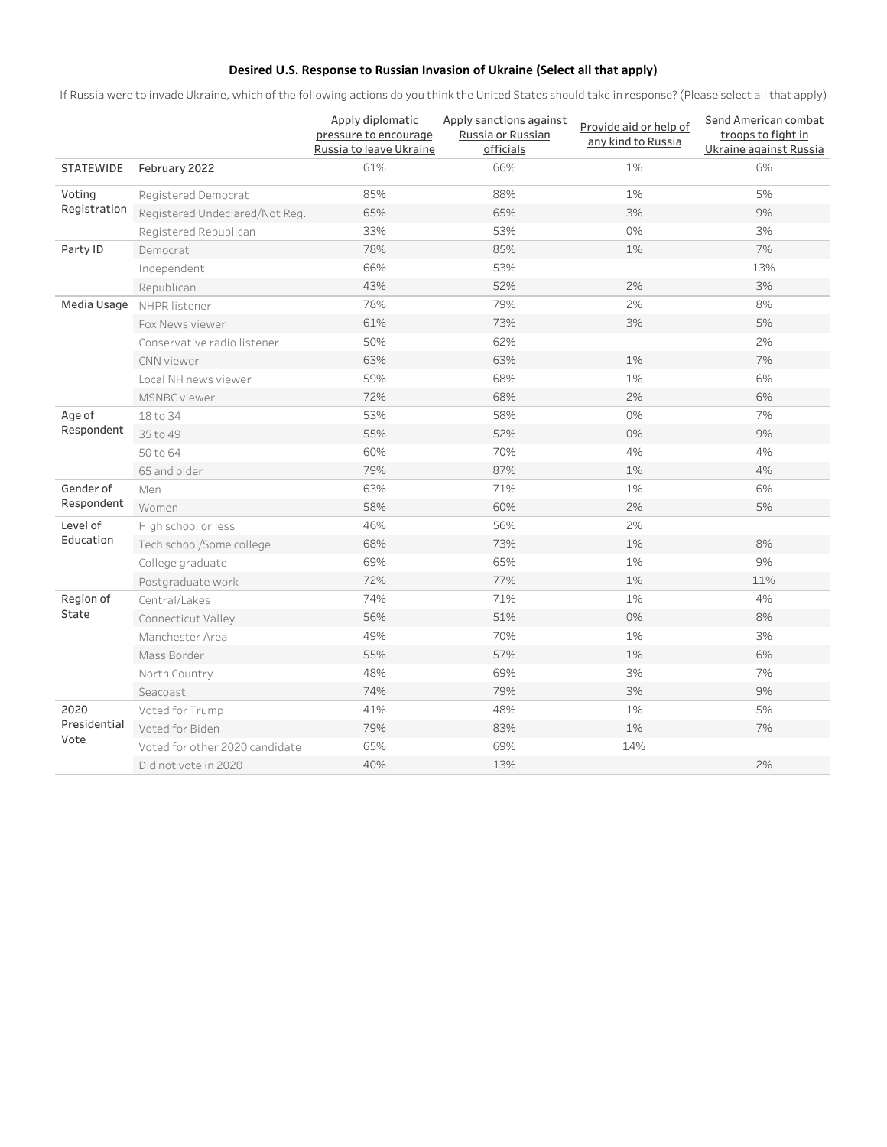# Desired U.S. Response to Russian Invasion of Ukraine (Select all that apply)

If Russia were to invade Ukraine, which of the following actions do you think the United States should take in response? (Please select all that apply)

|                  |                                | Apply diplomatic<br>pressure to encourage<br>Russia to leave Ukraine | Apply sanctions against<br>Russia or Russian<br>officials | Provide aid or help of<br>any kind to Russia | Send American combat<br>troops to fight in<br>Ukraine against Russia |
|------------------|--------------------------------|----------------------------------------------------------------------|-----------------------------------------------------------|----------------------------------------------|----------------------------------------------------------------------|
| <b>STATEWIDE</b> | February 2022                  | 61%                                                                  | 66%                                                       | 1%                                           | 6%                                                                   |
| Voting           | Registered Democrat            | 85%                                                                  | 88%                                                       | 1%                                           | 5%                                                                   |
| Registration     | Registered Undeclared/Not Reg. | 65%                                                                  | 65%                                                       | 3%                                           | 9%                                                                   |
|                  | Registered Republican          | 33%                                                                  | 53%                                                       | 0%                                           | 3%                                                                   |
| Party ID         | Democrat                       | 78%                                                                  | 85%                                                       | 1%                                           | 7%                                                                   |
|                  | Independent                    | 66%                                                                  | 53%                                                       |                                              | 13%                                                                  |
|                  | Republican                     | 43%                                                                  | 52%                                                       | 2%                                           | 3%                                                                   |
| Media Usage      | NHPR listener                  | 78%                                                                  | 79%                                                       | 2%                                           | 8%                                                                   |
|                  | Fox News viewer                | 61%                                                                  | 73%                                                       | 3%                                           | 5%                                                                   |
|                  | Conservative radio listener    | 50%                                                                  | 62%                                                       |                                              | 2%                                                                   |
|                  | CNN viewer                     | 63%                                                                  | 63%                                                       | 1%                                           | 7%                                                                   |
|                  | Local NH news viewer           | 59%                                                                  | 68%                                                       | 1%                                           | 6%                                                                   |
|                  | MSNBC viewer                   | 72%                                                                  | 68%                                                       | 2%                                           | 6%                                                                   |
| Age of           | 18 to 34                       | 53%                                                                  | 58%                                                       | 0%                                           | 7%                                                                   |
| Respondent       | 35 to 49                       | 55%                                                                  | 52%                                                       | 0%                                           | 9%                                                                   |
|                  | 50 to 64                       | 60%                                                                  | 70%                                                       | 4%                                           | 4%                                                                   |
|                  | 65 and older                   | 79%                                                                  | 87%                                                       | 1%                                           | 4%                                                                   |
| Gender of        | Men                            | 63%                                                                  | 71%                                                       | 1%                                           | 6%                                                                   |
| Respondent       | Women                          | 58%                                                                  | 60%                                                       | 2%                                           | 5%                                                                   |
| Level of         | High school or less            | 46%                                                                  | 56%                                                       | 2%                                           |                                                                      |
| Education        | Tech school/Some college       | 68%                                                                  | 73%                                                       | 1%                                           | 8%                                                                   |
|                  | College graduate               | 69%                                                                  | 65%                                                       | 1%                                           | 9%                                                                   |
|                  | Postgraduate work              | 72%                                                                  | 77%                                                       | 1%                                           | 11%                                                                  |
| Region of        | Central/Lakes                  | 74%                                                                  | 71%                                                       | 1%                                           | 4%                                                                   |
| State            | Connecticut Valley             | 56%                                                                  | 51%                                                       | 0%                                           | 8%                                                                   |
|                  | Manchester Area                | 49%                                                                  | 70%                                                       | 1%                                           | 3%                                                                   |
|                  | Mass Border                    | 55%                                                                  | 57%                                                       | 1%                                           | 6%                                                                   |
|                  | North Country                  | 48%                                                                  | 69%                                                       | 3%                                           | 7%                                                                   |
|                  | Seacoast                       | 74%                                                                  | 79%                                                       | 3%                                           | 9%                                                                   |
| 2020             | Voted for Trump                | 41%                                                                  | 48%                                                       | $1\%$                                        | 5%                                                                   |
| Presidential     | Voted for Biden                | 79%                                                                  | 83%                                                       | 1%                                           | 7%                                                                   |
| Vote             | Voted for other 2020 candidate | 65%                                                                  | 69%                                                       | 14%                                          |                                                                      |
|                  | Did not vote in 2020           | 40%                                                                  | 13%                                                       |                                              | 2%                                                                   |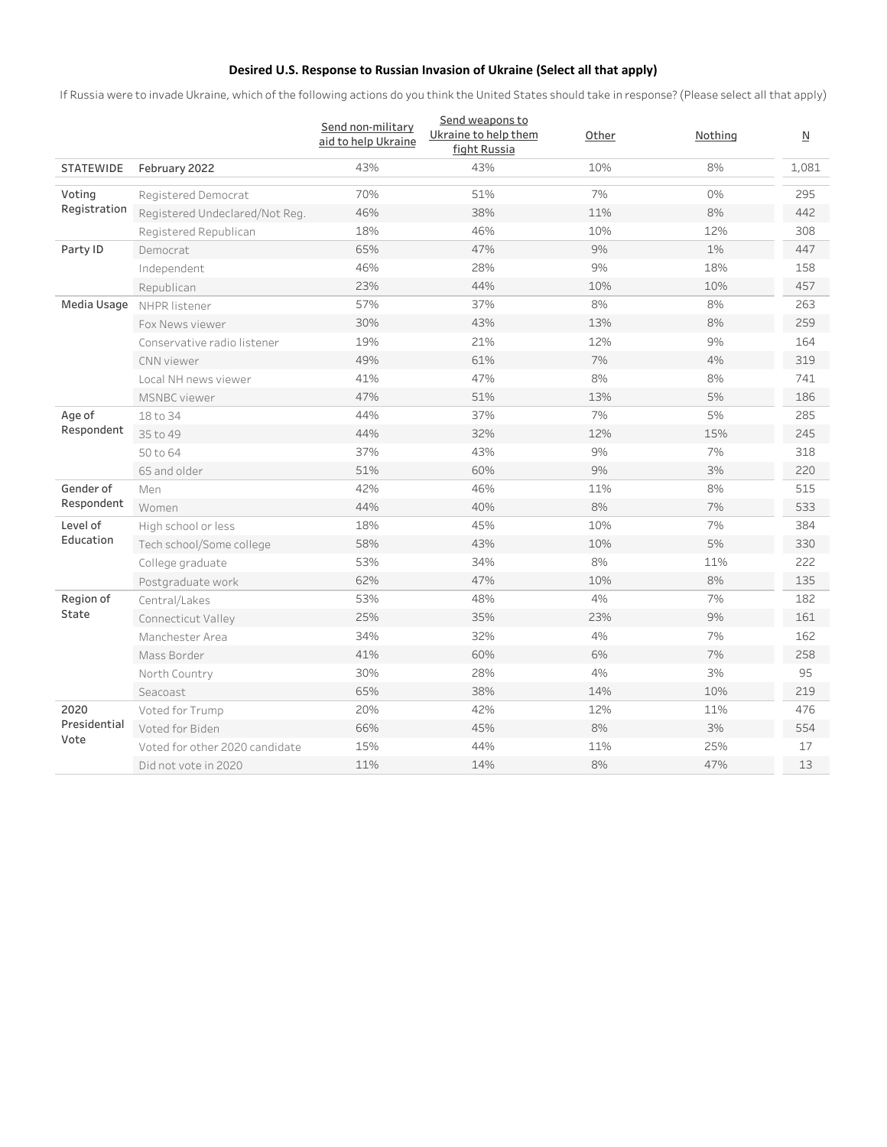# Desired U.S. Response to Russian Invasion of Ukraine (Select all that apply)

If Russia were to invade Ukraine, which of the following actions do you think the United States should take in response? (Please select all that apply)

|                      |                                | Send non-military<br>aid to help Ukraine | Send weapons to<br>Ukraine to help them<br>fight Russia | Other | Nothing | $\overline{\mathsf{N}}$ |
|----------------------|--------------------------------|------------------------------------------|---------------------------------------------------------|-------|---------|-------------------------|
| <b>STATEWIDE</b>     | February 2022                  | 43%                                      | 43%                                                     | 10%   | 8%      | 1,081                   |
| Voting               | Registered Democrat            | 70%                                      | 51%                                                     | 7%    | 0%      | 295                     |
| Registration         | Registered Undeclared/Not Reg. | 46%                                      | 38%                                                     | 11%   | 8%      | 442                     |
|                      | Registered Republican          | 18%                                      | 46%                                                     | 10%   | 12%     | 308                     |
| Party ID             | Democrat                       | 65%                                      | 47%                                                     | 9%    | 1%      | 447                     |
|                      | Independent                    | 46%                                      | 28%                                                     | 9%    | 18%     | 158                     |
|                      | Republican                     | 23%                                      | 44%                                                     | 10%   | 10%     | 457                     |
| Media Usage          | NHPR listener                  | 57%                                      | 37%                                                     | 8%    | 8%      | 263                     |
|                      | Fox News viewer                | 30%                                      | 43%                                                     | 13%   | 8%      | 259                     |
|                      | Conservative radio listener    | 19%                                      | 21%                                                     | 12%   | 9%      | 164                     |
|                      | CNN viewer                     | 49%                                      | 61%                                                     | 7%    | 4%      | 319                     |
|                      | Local NH news viewer           | 41%                                      | 47%                                                     | 8%    | 8%      | 741                     |
|                      | MSNBC viewer                   | 47%                                      | 51%                                                     | 13%   | 5%      | 186                     |
| Age of<br>Respondent | 18 to 34                       | 44%                                      | 37%                                                     | 7%    | 5%      | 285                     |
|                      | 35 to 49                       | 44%                                      | 32%                                                     | 12%   | 15%     | 245                     |
|                      | 50 to 64                       | 37%                                      | 43%                                                     | 9%    | 7%      | 318                     |
|                      | 65 and older                   | 51%                                      | 60%                                                     | 9%    | 3%      | 220                     |
| Gender of            | Men                            | 42%                                      | 46%                                                     | 11%   | 8%      | 515                     |
| Respondent           | Women                          | 44%                                      | 40%                                                     | 8%    | 7%      | 533                     |
| Level of             | High school or less            | 18%                                      | 45%                                                     | 10%   | 7%      | 384                     |
| Education            | Tech school/Some college       | 58%                                      | 43%                                                     | 10%   | 5%      | 330                     |
|                      | College graduate               | 53%                                      | 34%                                                     | 8%    | 11%     | 222                     |
|                      | Postgraduate work              | 62%                                      | 47%                                                     | 10%   | 8%      | 135                     |
| Region of            | Central/Lakes                  | 53%                                      | 48%                                                     | 4%    | 7%      | 182                     |
| State                | Connecticut Valley             | 25%                                      | 35%                                                     | 23%   | 9%      | 161                     |
|                      | Manchester Area                | 34%                                      | 32%                                                     | 4%    | 7%      | 162                     |
|                      | Mass Border                    | 41%                                      | 60%                                                     | 6%    | 7%      | 258                     |
|                      | North Country                  | 30%                                      | 28%                                                     | 4%    | 3%      | 95                      |
|                      | Seacoast                       | 65%                                      | 38%                                                     | 14%   | 10%     | 219                     |
| 2020                 | Voted for Trump                | 20%                                      | 42%                                                     | 12%   | 11%     | 476                     |
| Presidential<br>Vote | Voted for Biden                | 66%                                      | 45%                                                     | 8%    | 3%      | 554                     |
|                      | Voted for other 2020 candidate | 15%                                      | 44%                                                     | 11%   | 25%     | 17                      |
|                      | Did not vote in 2020           | 11%                                      | 14%                                                     | 8%    | 47%     | 13                      |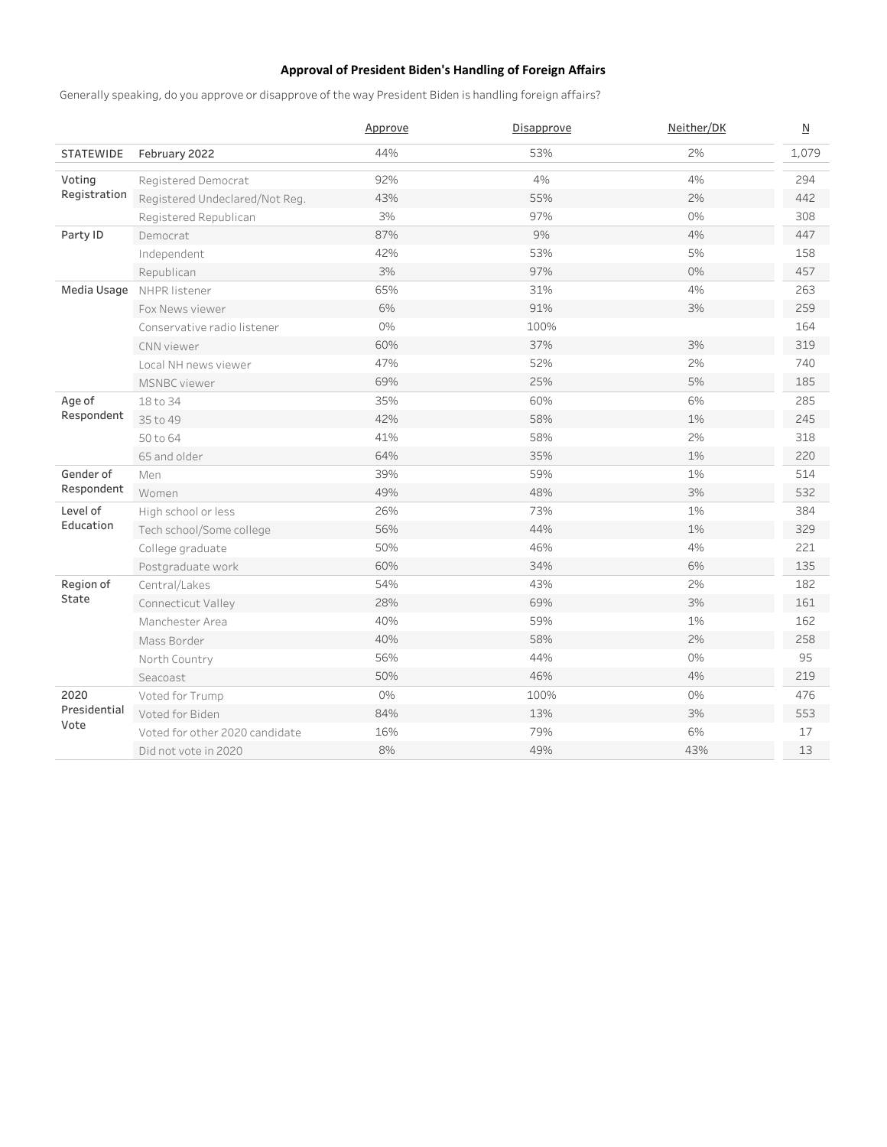# Approval of President Biden's Handling of Foreign Affairs

Generally speaking, do you approve or disapprove of the way President Biden is handling foreign affairs?

|                      |                                | Approve | Disapprove | Neither/DK | $\underline{\mathsf{N}}$ |
|----------------------|--------------------------------|---------|------------|------------|--------------------------|
| <b>STATEWIDE</b>     | February 2022                  | 44%     | 53%        | 2%         | 1.079                    |
| Voting               | Registered Democrat            | 92%     | 4%         | 4%         | 294                      |
| Registration         | Registered Undeclared/Not Reg. | 43%     | 55%        | 2%         | 442                      |
|                      | Registered Republican          | 3%      | 97%        | 0%         | 308                      |
| Party ID             | Democrat                       | 87%     | 9%         | 4%         | 447                      |
|                      | Independent                    | 42%     | 53%        | 5%         | 158                      |
|                      | Republican                     | 3%      | 97%        | 0%         | 457                      |
| Media Usage          | NHPR listener                  | 65%     | 31%        | 4%         | 263                      |
|                      | Fox News viewer                | 6%      | 91%        | 3%         | 259                      |
|                      | Conservative radio listener    | 0%      | 100%       |            | 164                      |
|                      | CNN viewer                     | 60%     | 37%        | 3%         | 319                      |
|                      | Local NH news viewer           | 47%     | 52%        | 2%         | 740                      |
|                      | <b>MSNBC</b> viewer            | 69%     | 25%        | 5%         | 185                      |
| Age of<br>Respondent | 18 to 34                       | 35%     | 60%        | 6%         | 285                      |
|                      | 35 to 49                       | 42%     | 58%        | 1%         | 245                      |
|                      | 50 to 64                       | 41%     | 58%        | 2%         | 318                      |
|                      | 65 and older                   | 64%     | 35%        | 1%         | 220                      |
| Gender of            | Men                            | 39%     | 59%        | 1%         | 514                      |
| Respondent           | Women                          | 49%     | 48%        | 3%         | 532                      |
| Level of             | High school or less            | 26%     | 73%        | 1%         | 384                      |
| Education            | Tech school/Some college       | 56%     | 44%        | 1%         | 329                      |
|                      | College graduate               | 50%     | 46%        | 4%         | 221                      |
|                      | Postgraduate work              | 60%     | 34%        | 6%         | 135                      |
| Region of            | Central/Lakes                  | 54%     | 43%        | 2%         | 182                      |
| State                | Connecticut Valley             | 28%     | 69%        | 3%         | 161                      |
|                      | Manchester Area                | 40%     | 59%        | 1%         | 162                      |
|                      | Mass Border                    | 40%     | 58%        | 2%         | 258                      |
|                      | North Country                  | 56%     | 44%        | 0%         | 95                       |
|                      | Seacoast                       | 50%     | 46%        | 4%         | 219                      |
| 2020                 | Voted for Trump                | 0%      | 100%       | 0%         | 476                      |
| Presidential         | Voted for Biden                | 84%     | 13%        | 3%         | 553                      |
| Vote                 | Voted for other 2020 candidate | 16%     | 79%        | 6%         | 17                       |
|                      | Did not vote in 2020           | 8%      | 49%        | 43%        | 13                       |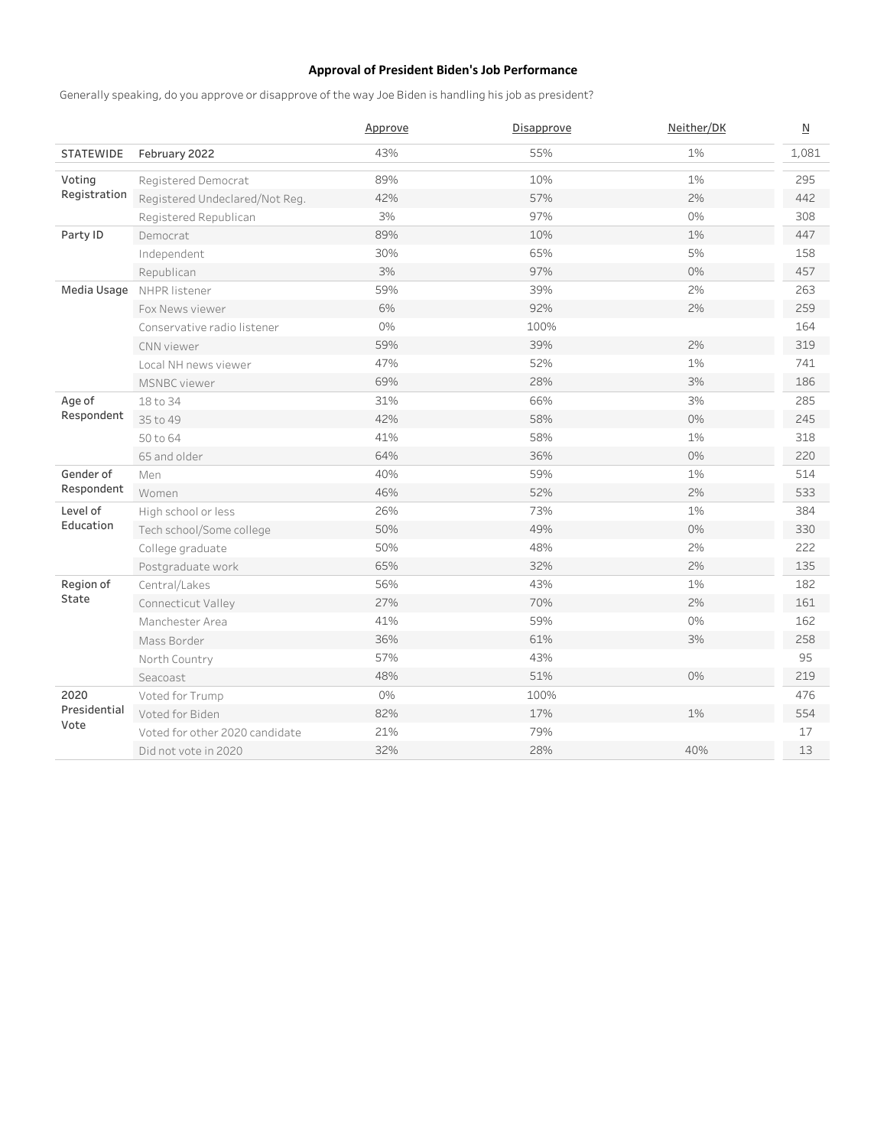# Approval of President Biden's Job Performance

Generally speaking, do you approve or disapprove of the way Joe Biden is handling his job as president?

|                      |                                | Approve | Disapprove | Neither/DK | $\underline{\mathsf{N}}$ |
|----------------------|--------------------------------|---------|------------|------------|--------------------------|
| <b>STATEWIDE</b>     | February 2022                  | 43%     | 55%        | 1%         | 1.081                    |
| Voting               | Registered Democrat            | 89%     | 10%        | 1%         | 295                      |
| Registration         | Registered Undeclared/Not Reg. | 42%     | 57%        | 2%         | 442                      |
|                      | Registered Republican          | 3%      | 97%        | 0%         | 308                      |
| Party ID             | Democrat                       | 89%     | 10%        | 1%         | 447                      |
|                      | Independent                    | 30%     | 65%        | 5%         | 158                      |
|                      | Republican                     | 3%      | 97%        | 0%         | 457                      |
| Media Usage          | NHPR listener                  | 59%     | 39%        | 2%         | 263                      |
|                      | Fox News viewer                | 6%      | 92%        | 2%         | 259                      |
|                      | Conservative radio listener    | 0%      | 100%       |            | 164                      |
|                      | CNN viewer                     | 59%     | 39%        | 2%         | 319                      |
|                      | Local NH news viewer           | 47%     | 52%        | 1%         | 741                      |
|                      | <b>MSNBC</b> viewer            | 69%     | 28%        | 3%         | 186                      |
| Age of<br>Respondent | 18 to 34                       | 31%     | 66%        | 3%         | 285                      |
|                      | 35 to 49                       | 42%     | 58%        | 0%         | 245                      |
|                      | 50 to 64                       | 41%     | 58%        | 1%         | 318                      |
|                      | 65 and older                   | 64%     | 36%        | 0%         | 220                      |
| Gender of            | Men                            | 40%     | 59%        | 1%         | 514                      |
| Respondent           | Women                          | 46%     | 52%        | 2%         | 533                      |
| Level of             | High school or less            | 26%     | 73%        | 1%         | 384                      |
| Education            | Tech school/Some college       | 50%     | 49%        | 0%         | 330                      |
|                      | College graduate               | 50%     | 48%        | 2%         | 222                      |
|                      | Postgraduate work              | 65%     | 32%        | 2%         | 135                      |
| Region of            | Central/Lakes                  | 56%     | 43%        | 1%         | 182                      |
| State                | Connecticut Valley             | 27%     | 70%        | 2%         | 161                      |
|                      | Manchester Area                | 41%     | 59%        | 0%         | 162                      |
|                      | Mass Border                    | 36%     | 61%        | 3%         | 258                      |
|                      | North Country                  | 57%     | 43%        |            | 95                       |
|                      | Seacoast                       | 48%     | 51%        | 0%         | 219                      |
| 2020                 | Voted for Trump                | 0%      | 100%       |            | 476                      |
| Presidential         | Voted for Biden                | 82%     | 17%        | 1%         | 554                      |
| Vote                 | Voted for other 2020 candidate | 21%     | 79%        |            | 17                       |
|                      | Did not vote in 2020           | 32%     | 28%        | 40%        | 13                       |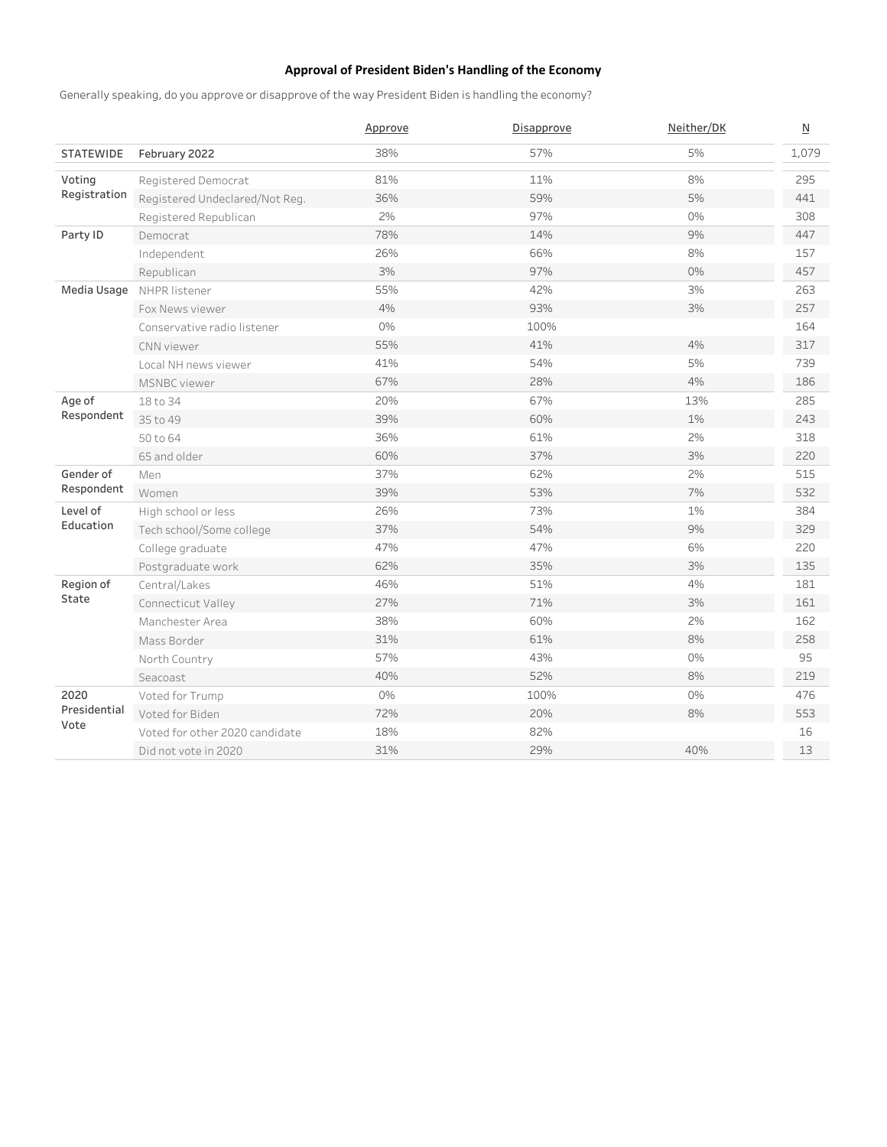# Approval of President Biden's Handling of the Economy

Generally speaking, do you approve or disapprove of the way President Biden is handling the economy?

|                      |                                | Approve | Disapprove | Neither/DK | $\underline{\mathsf{N}}$ |
|----------------------|--------------------------------|---------|------------|------------|--------------------------|
| <b>STATEWIDE</b>     | February 2022                  | 38%     | 57%        | 5%         | 1,079                    |
| Voting               | Registered Democrat            | 81%     | 11%        | 8%         | 295                      |
| Registration         | Registered Undeclared/Not Reg. | 36%     | 59%        | 5%         | 441                      |
|                      | Registered Republican          | 2%      | 97%        | 0%         | 308                      |
| Party ID             | Democrat                       | 78%     | 14%        | 9%         | 447                      |
|                      | Independent                    | 26%     | 66%        | 8%         | 157                      |
|                      | Republican                     | 3%      | 97%        | 0%         | 457                      |
| Media Usage          | NHPR listener                  | 55%     | 42%        | 3%         | 263                      |
|                      | Fox News viewer                | 4%      | 93%        | 3%         | 257                      |
|                      | Conservative radio listener    | 0%      | 100%       |            | 164                      |
|                      | CNN viewer                     | 55%     | 41%        | 4%         | 317                      |
|                      | Local NH news viewer           | 41%     | 54%        | 5%         | 739                      |
|                      | <b>MSNBC</b> viewer            | 67%     | 28%        | 4%         | 186                      |
| Age of<br>Respondent | 18 to 34                       | 20%     | 67%        | 13%        | 285                      |
|                      | 35 to 49                       | 39%     | 60%        | 1%         | 243                      |
|                      | 50 to 64                       | 36%     | 61%        | 2%         | 318                      |
|                      | 65 and older                   | 60%     | 37%        | 3%         | 220                      |
| Gender of            | Men                            | 37%     | 62%        | 2%         | 515                      |
| Respondent           | Women                          | 39%     | 53%        | 7%         | 532                      |
| Level of             | High school or less            | 26%     | 73%        | 1%         | 384                      |
| Education            | Tech school/Some college       | 37%     | 54%        | 9%         | 329                      |
|                      | College graduate               | 47%     | 47%        | 6%         | 220                      |
|                      | Postgraduate work              | 62%     | 35%        | 3%         | 135                      |
| Region of            | Central/Lakes                  | 46%     | 51%        | 4%         | 181                      |
| State                | Connecticut Valley             | 27%     | 71%        | 3%         | 161                      |
|                      | Manchester Area                | 38%     | 60%        | 2%         | 162                      |
|                      | Mass Border                    | 31%     | 61%        | 8%         | 258                      |
|                      | North Country                  | 57%     | 43%        | 0%         | 95                       |
|                      | Seacoast                       | 40%     | 52%        | 8%         | 219                      |
| 2020                 | Voted for Trump                | 0%      | 100%       | 0%         | 476                      |
| Presidential         | Voted for Biden                | 72%     | 20%        | 8%         | 553                      |
| Vote                 | Voted for other 2020 candidate | 18%     | 82%        |            | 16                       |
|                      | Did not vote in 2020           | 31%     | 29%        | 40%        | 13                       |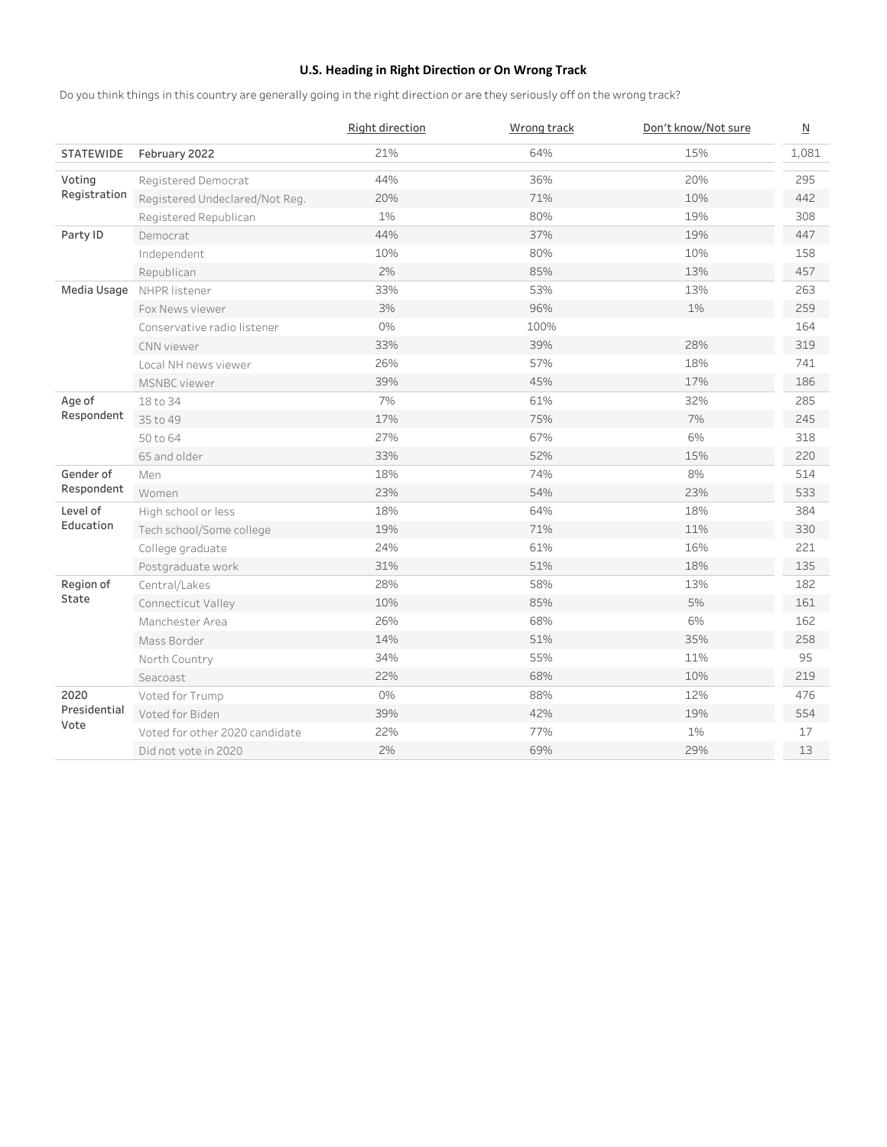# U.S. Heading in Right Direction or On Wrong Track

Do you think things in this country are generally going in the right direction or are they seriously off on the wrong track?

|                      |                                | Right direction | Wrong track | Don't know/Not sure | $\underline{\mathsf{N}}$ |
|----------------------|--------------------------------|-----------------|-------------|---------------------|--------------------------|
| <b>STATEWIDE</b>     | February 2022                  | 21%             | 64%         | 15%                 | 1,081                    |
| Voting               | Registered Democrat            | 44%             | 36%         | 20%                 | 295                      |
| Registration         | Registered Undeclared/Not Reg. | 20%             | 71%         | 10%                 | 442                      |
|                      | Registered Republican          | 1%              | 80%         | 19%                 | 308                      |
| Party ID             | Democrat                       | 44%             | 37%         | 19%                 | 447                      |
|                      | Independent                    | 10%             | 80%         | 10%                 | 158                      |
|                      | Republican                     | 2%              | 85%         | 13%                 | 457                      |
| Media Usage          | NHPR listener                  | 33%             | 53%         | 13%                 | 263                      |
|                      | Fox News viewer                | 3%              | 96%         | 1%                  | 259                      |
|                      | Conservative radio listener    | 0%              | 100%        |                     | 164                      |
|                      | CNN viewer                     | 33%             | 39%         | 28%                 | 319                      |
|                      | Local NH news viewer           | 26%             | 57%         | 18%                 | 741                      |
|                      | <b>MSNBC</b> viewer            | 39%             | 45%         | 17%                 | 186                      |
| Age of<br>Respondent | 18 to 34                       | 7%              | 61%         | 32%                 | 285                      |
|                      | 35 to 49                       | 17%             | 75%         | 7%                  | 245                      |
|                      | 50 to 64                       | 27%             | 67%         | 6%                  | 318                      |
|                      | 65 and older                   | 33%             | 52%         | 15%                 | 220                      |
| Gender of            | Men                            | 18%             | 74%         | 8%                  | 514                      |
| Respondent           | Women                          | 23%             | 54%         | 23%                 | 533                      |
| Level of             | High school or less            | 18%             | 64%         | 18%                 | 384                      |
| Education            | Tech school/Some college       | 19%             | 71%         | 11%                 | 330                      |
|                      | College graduate               | 24%             | 61%         | 16%                 | 221                      |
|                      | Postgraduate work              | 31%             | 51%         | 18%                 | 135                      |
| Region of            | Central/Lakes                  | 28%             | 58%         | 13%                 | 182                      |
| State                | Connecticut Valley             | 10%             | 85%         | 5%                  | 161                      |
|                      | Manchester Area                | 26%             | 68%         | 6%                  | 162                      |
|                      | Mass Border                    | 14%             | 51%         | 35%                 | 258                      |
|                      | North Country                  | 34%             | 55%         | 11%                 | 95                       |
|                      | Seacoast                       | 22%             | 68%         | 10%                 | 219                      |
| 2020                 | Voted for Trump                | 0%              | 88%         | 12%                 | 476                      |
| Presidential         | Voted for Biden                | 39%             | 42%         | 19%                 | 554                      |
| Vote                 | Voted for other 2020 candidate | 22%             | 77%         | 1%                  | 17                       |
|                      | Did not vote in 2020           | 2%              | 69%         | 29%                 | 13                       |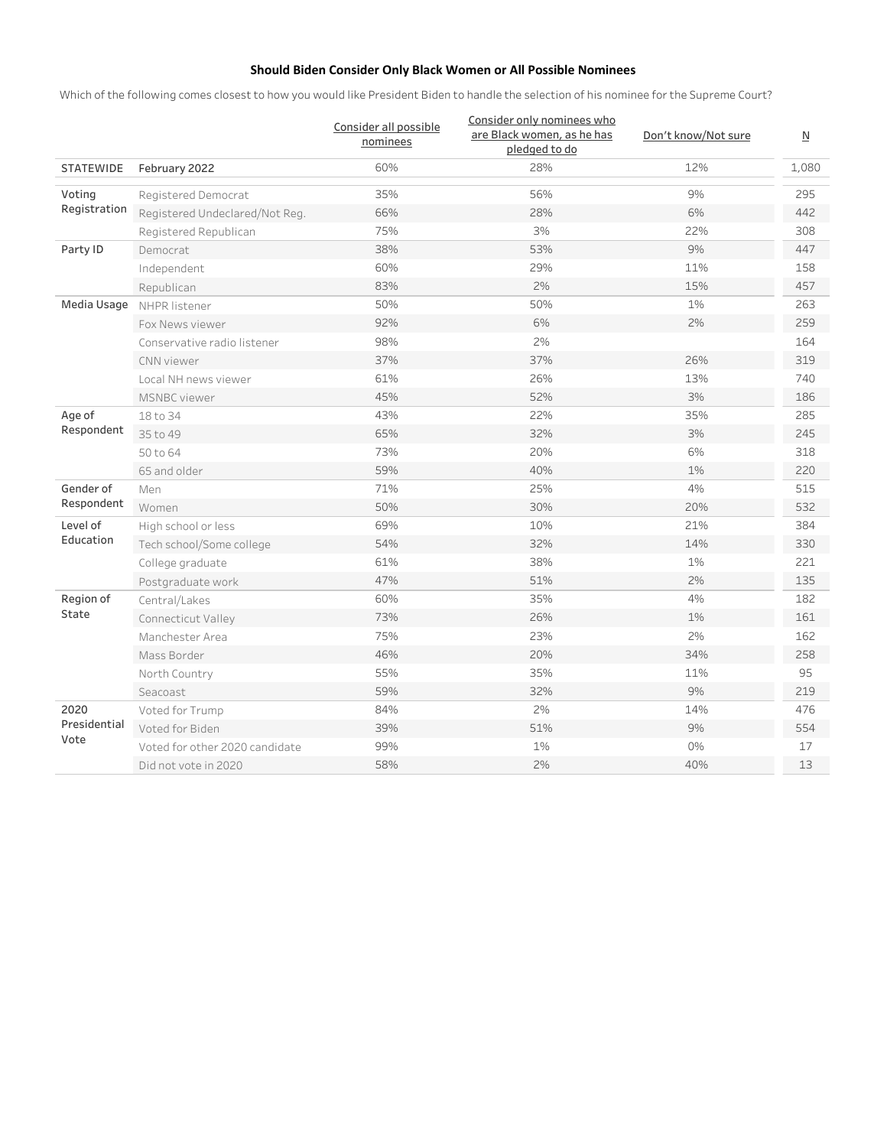# Should Biden Consider Only Black Women or All Possible Nominees

Which of the following comes closest to how you would like President Biden to handle the selection of his nominee for the Supreme Court?

|                      |                                | Consider all possible<br>nominees | Consider only nominees who<br>are Black women, as he has<br>pledged to do | Don't know/Not sure | N     |
|----------------------|--------------------------------|-----------------------------------|---------------------------------------------------------------------------|---------------------|-------|
| <b>STATEWIDE</b>     | February 2022                  | 60%                               | 28%                                                                       | 12%                 | 1,080 |
| Voting               | Registered Democrat            | 35%                               | 56%                                                                       | 9%                  | 295   |
| Registration         | Registered Undeclared/Not Reg. | 66%                               | 28%                                                                       | 6%                  | 442   |
|                      | Registered Republican          | 75%                               | 3%                                                                        | 22%                 | 308   |
| Party ID             | Democrat                       | 38%                               | 53%                                                                       | 9%                  | 447   |
|                      | Independent                    | 60%                               | 29%                                                                       | 11%                 | 158   |
|                      | Republican                     | 83%                               | 2%                                                                        | 15%                 | 457   |
| Media Usage          | NHPR listener                  | 50%                               | 50%                                                                       | 1%                  | 263   |
|                      | Fox News viewer                | 92%                               | 6%                                                                        | 2%                  | 259   |
|                      | Conservative radio listener    | 98%                               | 2%                                                                        |                     | 164   |
|                      | CNN viewer                     | 37%                               | 37%                                                                       | 26%                 | 319   |
|                      | Local NH news viewer           | 61%                               | 26%                                                                       | 13%                 | 740   |
|                      | MSNBC viewer                   | 45%                               | 52%                                                                       | 3%                  | 186   |
| Age of<br>Respondent | 18 to 34                       | 43%                               | 22%                                                                       | 35%                 | 285   |
|                      | 35 to 49                       | 65%                               | 32%                                                                       | 3%                  | 245   |
|                      | 50 to 64                       | 73%                               | 20%                                                                       | 6%                  | 318   |
|                      | 65 and older                   | 59%                               | 40%                                                                       | 1%                  | 220   |
| Gender of            | Men                            | 71%                               | 25%                                                                       | 4%                  | 515   |
| Respondent           | Women                          | 50%                               | 30%                                                                       | 20%                 | 532   |
| Level of             | High school or less            | 69%                               | 10%                                                                       | 21%                 | 384   |
| Education            | Tech school/Some college       | 54%                               | 32%                                                                       | 14%                 | 330   |
|                      | College graduate               | 61%                               | 38%                                                                       | 1%                  | 221   |
|                      | Postgraduate work              | 47%                               | 51%                                                                       | 2%                  | 135   |
| Region of            | Central/Lakes                  | 60%                               | 35%                                                                       | 4%                  | 182   |
| State                | Connecticut Valley             | 73%                               | 26%                                                                       | 1%                  | 161   |
|                      | Manchester Area                | 75%                               | 23%                                                                       | 2%                  | 162   |
|                      | Mass Border                    | 46%                               | 20%                                                                       | 34%                 | 258   |
|                      | North Country                  | 55%                               | 35%                                                                       | 11%                 | 95    |
|                      | Seacoast                       | 59%                               | 32%                                                                       | 9%                  | 219   |
| 2020                 | Voted for Trump                | 84%                               | 2%                                                                        | 14%                 | 476   |
| Presidential         | Voted for Biden                | 39%                               | 51%                                                                       | 9%                  | 554   |
| Vote                 | Voted for other 2020 candidate | 99%                               | 1%                                                                        | 0%                  | 17    |
|                      | Did not vote in 2020           | 58%                               | 2%                                                                        | 40%                 | 13    |